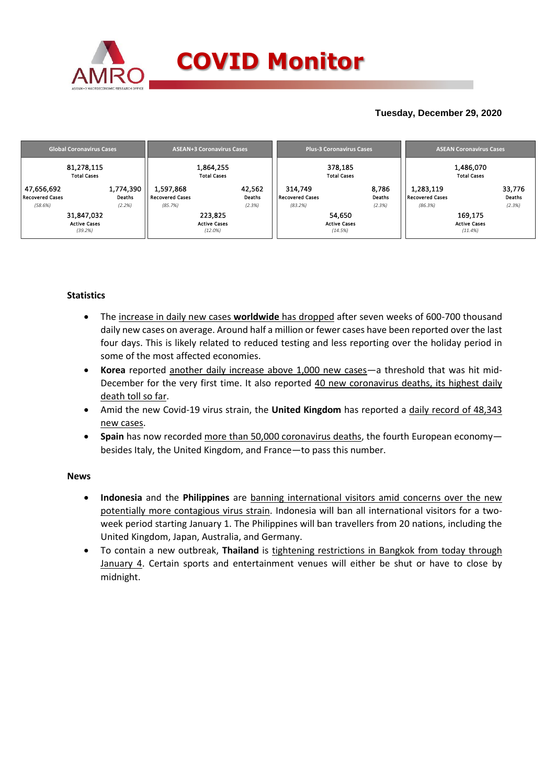

### **Tuesday, December 29, 2020**

| <b>Global Coronavirus Cases</b>                 | <b>ASEAN+3 Coronavirus Cases</b> |                                                |                                              |                            | <b>Plus-3 Coronavirus Cases</b>              |                                          | <b>ASEAN Coronavirus Cases</b> |                                         |                                          |                            |
|-------------------------------------------------|----------------------------------|------------------------------------------------|----------------------------------------------|----------------------------|----------------------------------------------|------------------------------------------|--------------------------------|-----------------------------------------|------------------------------------------|----------------------------|
| 81,278,115<br><b>Total Cases</b>                |                                  |                                                | 1,864,255<br><b>Total Cases</b>              |                            |                                              | 378.185<br><b>Total Cases</b>            |                                |                                         | 1,486,070<br><b>Total Cases</b>          |                            |
| 47,656,692<br><b>Recovered Cases</b><br>(58.6%) | 1,774,390<br>Deaths<br>(2.2%)    | 1,597,868<br><b>Recovered Cases</b><br>(85.7%) |                                              | 42,562<br>Deaths<br>(2.3%) | 314.749<br><b>Recovered Cases</b><br>(83.2%) |                                          | 8,786<br>Deaths<br>(2.3%)      | 1,283,119<br>Recovered Cases<br>(86.3%) |                                          | 33,776<br>Deaths<br>(2.3%) |
| 31,847,032<br><b>Active Cases</b><br>(39.2%)    |                                  |                                                | 223,825<br><b>Active Cases</b><br>$(12.0\%)$ |                            |                                              | 54,650<br><b>Active Cases</b><br>(14.5%) |                                |                                         | 169,175<br><b>Active Cases</b><br>(11.4% |                            |

### **Statistics**

- The increase in daily new cases **worldwide** has dropped after seven weeks of 600-700 thousand daily new cases on average. Around half a million or fewer cases have been reported over the last four days. This is likely related to reduced testing and less reporting over the holiday period in some of the most affected economies.
- **Korea** reported another daily increase above 1,000 new cases—a threshold that was hit mid-December for the very first time. It also reported 40 new coronavirus deaths, its highest daily death toll so far.
- Amid the new Covid-19 virus strain, the **United Kingdom** has reported a daily record of 48,343 new cases.
- **Spain** has now recorded more than 50,000 coronavirus deaths, the fourth European economy besides Italy, the United Kingdom, and France—to pass this number.

### **News**

- **Indonesia** and the **Philippines** are banning international visitors amid concerns over the new potentially more contagious virus strain. Indonesia will ban all international visitors for a twoweek period starting January 1. The Philippines will ban travellers from 20 nations, including the United Kingdom, Japan, Australia, and Germany.
- To contain a new outbreak, **Thailand** is tightening restrictions in Bangkok from today through January 4. Certain sports and entertainment venues will either be shut or have to close by midnight.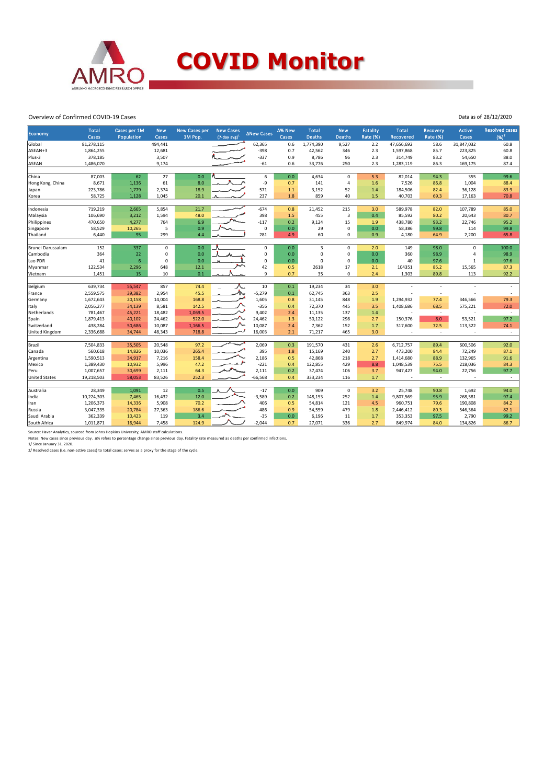

## **COVID Monitor**

Data as of 28/12/2020

#### Overview of Confirmed COVID-19 Cases

| Economy              | <b>Total</b>         | Cases per 1M     | <b>New</b>      | <b>New Cases per</b> | <b>New Cases</b>            | <b>∆New Cases</b> | ∆% New     | <b>Total</b>     | <b>New</b>    | <b>Fatality</b> | <b>Total</b>             | Recovery        | <b>Active</b>         | <b>Resolved cases</b> |
|----------------------|----------------------|------------------|-----------------|----------------------|-----------------------------|-------------------|------------|------------------|---------------|-----------------|--------------------------|-----------------|-----------------------|-----------------------|
| Global               | Cases<br>81,278,115  | Population       | Cases           | 1M Pop.              | $(7$ -day avg) <sup>1</sup> |                   | Cases      | <b>Deaths</b>    | <b>Deaths</b> | <b>Rate (%)</b> | <b>Recovered</b>         | <b>Rate (%)</b> | Cases                 | $(96)^2$              |
|                      |                      |                  | 494,441         |                      |                             | 62,365<br>$-398$  | 0.6        | 1,774,390        | 9,527         | 2.2             | 47,656,692               | 58.6            | 31,847,032<br>223,825 | 60.8                  |
| ASEAN+3<br>Plus-3    | 1,864,255<br>378,185 |                  | 12,681<br>3,507 |                      |                             | $-337$            | 0.7<br>0.9 | 42,562<br>8,786  | 346<br>96     | 2.3<br>2.3      | 1,597,868<br>314,749     | 85.7<br>83.2    | 54,650                | 60.8<br>88.0          |
|                      |                      |                  |                 |                      |                             |                   | 0.6        |                  | 250           | 2.3             |                          |                 |                       | 87.4                  |
| ASEAN                | 1,486,070            |                  | 9,174           |                      |                             | $-61$             |            | 33,776           |               |                 | 1,283,119                | 86.3            | 169,175               |                       |
| China                | 87,003               | 62               | 27              | 0.0                  |                             | 6                 | 0.0        | 4,634            | $\mathbf 0$   | 5.3             | 82,014                   | 94.3            | 355                   | 99.6                  |
| Hong Kong, China     | 8,671                | 1,136            | 61              | 8.0                  |                             | -9                | 0.7        | 141              | 4             | 1.6             | 7,526                    | 86.8            | 1,004                 | 88.4                  |
| Japan                | 223,786              | 1,779            | 2,374           | 18.9                 |                             | $-571$            | 1.1        | 3,152            | 52            | 1.4             | 184,506                  | 82.4            | 36,128                | 83.9                  |
| Korea                | 58,725               | 1,128            | 1,045           | 20.1                 |                             | 237               | 1.8        | 859              | 40            | 1.5             | 40,703                   | 69.3            | 17,163                | 70.8                  |
|                      |                      |                  |                 |                      |                             |                   |            |                  |               |                 |                          |                 |                       |                       |
| Indonesia            | 719,219              | 2,665            | 5,854           | 21.7                 |                             | $-674$            | 0.8        | 21,452           | 215           | 3.0             | 589,978                  | 82.0            | 107,789               | 85.0                  |
| Malaysia             | 106,690              | 3,212            | 1,594           | 48.0                 |                             | 398               | 1.5        | 455              | 3             | 0.4             | 85,592                   | 80.2            | 20,643                | 80.7                  |
| Philippines          | 470,650              | 4,277            | 764             | 6.9                  |                             | $-117$            | 0.2        | 9,124            | 15            | 1.9             | 438,780                  | 93.2            | 22,746                | 95.2                  |
| Singapore            | 58,529               | 10,265           | 5               | 0.9                  |                             | $\mathbf 0$       | 0.0        | 29               | $\mathbf 0$   | 0.0             | 58,386                   | 99.8            | 114                   | 99.8                  |
| Thailand             | 6,440                | 95               | 299             | 4.4                  |                             | 281               | 4.9        | 60               | $\mathbf 0$   | 0.9             | 4,180                    | 64.9            | 2,200                 | 65.8                  |
| Brunei Darussalam    | 152                  | 337              | $\mathbf 0$     | 0.0                  |                             | $\mathbf 0$       | 0.0        | 3                | $\mathbf 0$   | 2.0             | 149                      | 98.0            | $\mathbf 0$           | 100.0                 |
| Cambodia             | 364                  | 22               | $\mathsf 0$     | 0.0                  |                             | $\mathsf 0$       | 0.0        | $\mathbf 0$      | $\mathbf 0$   | 0.0             | 360                      | 98.9            | 4                     | 98.9                  |
| Lao PDR              | 41                   | $6\phantom{1}6$  | $\mathbf 0$     | 0.0                  |                             | $\mathsf 0$       | 0.0        | $\Omega$         | $\mathbf 0$   | 0.0             | 40                       | 97.6            | $\mathbf{1}$          | 97.6                  |
| Myanmar              | 122,534              | 2,296            | 648             | 12.1                 |                             | 42                | 0.5        | 2618             | 17            | 2.1             | 104351                   | 85.2            | 15,565                | 87.3                  |
| Vietnam              | 1,451                | 15               | 10              | 0.1                  |                             | 9                 | 0.7        | 35               | $\mathbf 0$   | 2.4             | 1,303                    | 89.8            | 113                   | 92.2                  |
|                      |                      |                  |                 |                      |                             |                   |            |                  |               |                 |                          |                 |                       |                       |
| Belgium              | 639,734              | 55,547           | 857             | 74.4                 |                             | 10                | 0.1        | 19,234           | 34            | 3.0             |                          |                 |                       |                       |
| France               | 2,559,575            | 39,382           | 2,954           | 45.5                 | λ.                          | $-5,279$          | 0.1        | 62,745           | 363           | 2.5             |                          | ł,              |                       |                       |
| Germany              | 1,672,643            | 20,158           | 14,004          | 168.8                |                             | 1,605             | 0.8        | 31,145           | 848           | 1.9             | 1,294,932                | 77.4            | 346,566               | 79.3                  |
| Italy                | 2,056,277            | 34,139           | 8,581           | 142.5                |                             | $-356$            | 0.4        | 72,370           | 445           | 3.5             | 1,408,686                | 68.5            | 575,221               | 72.0                  |
| Netherlands          | 781,467              | 45,221           | 18,482          | 1,069.5              |                             | 9,402             | 2.4        | 11,135           | 137           | 1.4             | ÷,                       | $\sim$          |                       | $\sim$                |
| Spain                | 1,879,413            | 40,102           | 24,462          | 522.0                |                             | 24,462            | 1.3        | 50,122           | 298           | 2.7             | 150,376                  | 8.0             | 53,521                | 97.2                  |
| Switzerland          | 438,284              | 50,686           | 10,087          | 1,166.5              |                             | 10,087            | 2.4        | 7,362            | 152           | 1.7             | 317,600                  | 72.5            | 113,322               | 74.1                  |
| United Kingdom       | 2,336,688            | 34,744           | 48,343          | 718.8                |                             | 16,003            | 2.1        | 71,217           | 465           | 3.0             | $\overline{\phantom{a}}$ | $\sim$          | ٠                     | $\sim$                |
| Brazil               | 7,504,833            | 35,505           |                 | 97.2                 |                             | 2,069             | 0.3        | 191,570          | 431           | 2.6             |                          | 89.4            | 600,506               | 92.0                  |
|                      | 560,618              |                  | 20,548          |                      |                             | 395               |            |                  |               |                 | 6,712,757                |                 |                       |                       |
| Canada               | 1,590,513            | 14,826<br>34,917 | 10,036<br>7,216 | 265.4<br>158.4       |                             | 2,186             | 1.8<br>0.5 | 15,169<br>42,868 | 240<br>218    | 2.7<br>2.7      | 473,200<br>1,414,680     | 84.4<br>88.9    | 72,249<br>132,965     | 87.1<br>91.6          |
| Argentina            |                      |                  |                 |                      |                             | $-221$            |            |                  |               |                 |                          |                 |                       |                       |
| Mexico               | 1,389,430            | 10,932           | 5,996           | 47.2                 |                             | 2,111             | 0.4        | 122,855          | 429           | 8.8             | 1,048,539                | 75.5            | 218,036               | 84.3                  |
| Peru                 | 1,007,657            | 30,699           | 2,111           | 64.3                 |                             |                   | 0.2        | 37,474           | 106           | 3.7             | 947,427                  | 94.0            | 22,756                | 97.7                  |
| <b>United States</b> | 19,218,503           | 58,053           | 83,526          | 252.3                |                             | $-66,568$         | 0.4        | 333,234          | 116           | 1.7             |                          | ÷               |                       | $\sim$                |
| Australia            | 28,349               | 1.091            | 12              | 0.5                  |                             | $-17$             | 0.0        | 909              | $\mathbf 0$   | 3.2             | 25,748                   | 90.8            | 1,692                 | 94.0                  |
| India                | 10,224,303           | 7,465            | 16,432          | 12.0                 |                             | $-3,589$          | 0.2        | 148,153          | 252           | 1.4             | 9,807,569                | 95.9            | 268,581               | 97.4                  |
| Iran                 | 1,206,373            | 14,336           | 5,908           | 70.2                 |                             | 406               | 0.5        | 54,814           | 121           | 4.5             | 960,751                  | 79.6            | 190,808               | 84.2                  |
| Russia               | 3,047,335            | 20,784           | 27,363          | 186.6                |                             | -486              | 0.9        | 54,559           | 479           | 1.8             | 2,446,412                | 80.3            | 546,364               | 82.1                  |
| Saudi Arabia         | 362,339              | 10,423           | 119             | 3.4                  |                             | $-35$             | 0.0        | 6,196            | 11            | 1.7             | 353,353                  | 97.5            | 2,790                 | 99.2                  |
| South Africa         | 1,011,871            | 16,944           | 7,458           | 124.9                |                             | $-2,044$          | 0.7        | 27,071           | 336           | 2.7             | 849,974                  | 84.0            | 134,826               | 86.7                  |
|                      |                      |                  |                 |                      |                             |                   |            |                  |               |                 |                          |                 |                       |                       |

Source: Haver Analytics, sourced from Johns Hopkins University; AMRO staff calculations.<br>Notes: New cases since previous day. Δ% refers to percentage change since previous day. Fatality rate measured as deaths per confirm